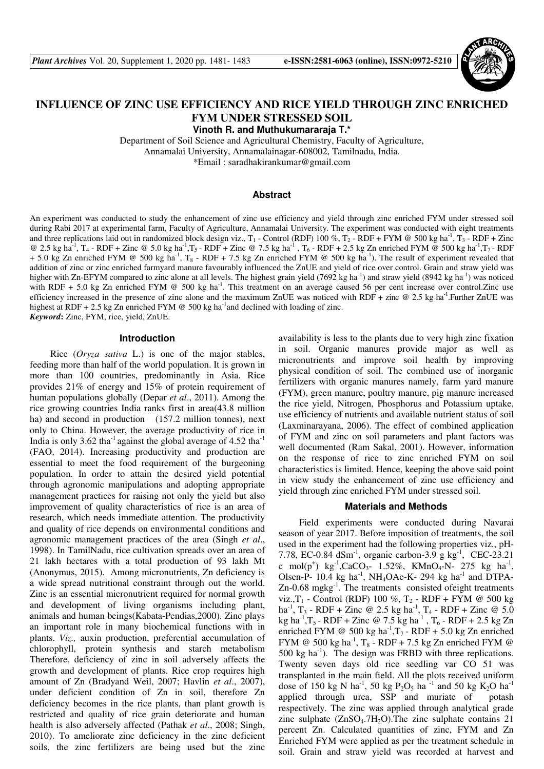

# **INFLUENCE OF ZINC USE EFFICIENCY AND RICE YIELD THROUGH ZINC ENRICHED FYM UNDER STRESSED SOIL**

**Vinoth R. and Muthukumararaja T.\*** 

Department of Soil Science and Agricultural Chemistry, Faculty of Agriculture, Annamalai University, Annamalainagar-608002, Tamilnadu, India*.*  \*Email : saradhakirankumar@gmail.com

# **Abstract**

An experiment was conducted to study the enhancement of zinc use efficiency and yield through zinc enriched FYM under stressed soil during Rabi 2017 at experimental farm, Faculty of Agriculture, Annamalai University. The experiment was conducted with eight treatments and three replications laid out in randomized block design viz.,  $T_1$  - Control (RDF) 100 %,  $T_2$  - RDF + FYM @ 500 kg ha<sup>-1</sup>,  $T_3$  - RDF + Zinc @ 2.5 kg ha<sup>-1</sup>, T<sub>4</sub> - RDF + Zinc @ 5.0 kg ha<sup>-1</sup>,T<sub>5</sub> - RDF + Zinc @ 7.5 kg ha<sup>-1</sup>, T<sub>6</sub> - RDF + 2.5 kg Zn enriched FYM @ 500 kg ha<sup>-1</sup>,T<sub>7</sub> - RDF + 5.0 kg Zn enriched FYM @ 500 kg ha<sup>-1</sup>, T<sub>8</sub> - RDF + 7.5 kg Zn enriched FYM @ 500 kg ha<sup>-1</sup>). The result of experiment revealed that addition of zinc or zinc enriched farmyard manure favourably influenced the ZnUE and yield of rice over control. Grain and straw yield was higher with Zn-EFYM compared to zinc alone at all levels. The highest grain yield (7692 kg ha<sup>-1</sup>) and straw yield (8942 kg ha<sup>-1</sup>) was noticed with RDF + 5.0 kg Zn enriched FYM  $@$  500 kg ha<sup>-1</sup>. This treatment on an average caused 56 per cent increase over control.Zinc use efficiency increased in the presence of zinc alone and the maximum ZnUE was noticed with RDF + zinc  $@$  2.5 kg ha<sup>-1</sup>. Further ZnUE was highest at RDF + 2.5 kg Zn enriched FYM  $\omega$  500 kg ha<sup>-1</sup>and declined with loading of zinc. *Keyword***:** Zinc, FYM, rice, yield, ZnUE.

## **Introduction**

Rice (*Oryza sativa* L.) is one of the major stables, feeding more than half of the world population. It is grown in more than 100 countries, predominantly in Asia. Rice provides 21% of energy and 15% of protein requirement of human populations globally (Depar *et al*., 2011). Among the rice growing countries India ranks first in area(43.8 million ha) and second in production (157.2 million tonnes), next only to China. However, the average productivity of rice in India is only 3.62 tha $^{-1}$  against the global average of 4.52 tha $^{-1}$ (FAO, 2014). Increasing productivity and production are essential to meet the food requirement of the burgeoning population. In order to attain the desired yield potential through agronomic manipulations and adopting appropriate management practices for raising not only the yield but also improvement of quality characteristics of rice is an area of research, which needs immediate attention. The productivity and quality of rice depends on environmental conditions and agronomic management practices of the area (Singh *et al*., 1998). In TamilNadu, rice cultivation spreads over an area of 21 lakh hectares with a total production of 93 lakh Mt (Anonymus, 2015). Among micronutrients, Zn deficiency is a wide spread nutritional constraint through out the world. Zinc is an essential micronutrient required for normal growth and development of living organisms including plant, animals and human beings(Kabata-Pendias,2000). Zinc plays an important role in many biochemical functions with in plants. *Viz.,* auxin production, preferential accumulation of chlorophyll, protein synthesis and starch metabolism Therefore, deficiency of zinc in soil adversely affects the growth and development of plants. Rice crop requires high amount of Zn (Bradyand Weil, 2007; Havlin *et al*., 2007), under deficient condition of Zn in soil, therefore Zn deficiency becomes in the rice plants, than plant growth is restricted and quality of rice grain deteriorate and human health is also adversely affected (Pathak *et al*., 2008; Singh, 2010). To ameliorate zinc deficiency in the zinc deficient soils, the zinc fertilizers are being used but the zinc

availability is less to the plants due to very high zinc fixation in soil. Organic manures provide major as well as micronutrients and improve soil health by improving physical condition of soil. The combined use of inorganic fertilizers with organic manures namely, farm yard manure (FYM), green manure, poultry manure, pig manure increased the rice yield, Nitrogen, Phosphorus and Potassium uptake, use efficiency of nutrients and available nutrient status of soil (Laxminarayana, 2006). The effect of combined application of FYM and zinc on soil parameters and plant factors was well documented (Ram Sakal, 2001). However, information on the response of rice to zinc enriched FYM on soil characteristics is limited. Hence, keeping the above said point in view study the enhancement of zinc use efficiency and yield through zinc enriched FYM under stressed soil.

#### **Materials and Methods**

Field experiments were conducted during Navarai season of year 2017. Before imposition of treatments, the soil used in the experiment had the following properties viz., pH-7.78, EC-0.84 dSm<sup>-1</sup>, organic carbon-3.9 g kg<sup>-1</sup>, CEC-23.21 c mol(p<sup>+</sup>)  $\text{kg}^{-1}$ ,CaCO<sub>3</sub>- 1.52%, KMnO<sub>4</sub>-N- 275 kg ha<sup>-1</sup>, Olsen-P- 10.4 kg ha<sup>-1</sup>, NH<sub>4</sub>OAc-K- 294 kg ha<sup>-1</sup> and DTPA-Zn-0.68 mgkg<sup>-1</sup>. The treatments consisted of eight treatments viz.,  $T_1$  - Control (RDF) 100 %,  $T_2$  - RDF + FYM @ 500 kg ha<sup>-1</sup>, T<sub>3</sub> - RDF + Zinc @ 2.5 kg ha<sup>-1</sup>, T<sub>4</sub> - RDF + Zinc @ 5.0 kg ha<sup>-1</sup>,T<sub>5</sub> - RDF + Zinc @ 7.5 kg ha<sup>-1</sup>, T<sub>6</sub> - RDF + 2.5 kg Zn enriched FYM @ 500 kg ha<sup>-1</sup>, T<sub>7</sub> - RDF + 5.0 kg Zn enriched FYM @ 500 kg ha<sup>-1</sup>, T<sub>8</sub> - RDF + 7.5 kg Zn enriched FYM @  $500 \text{ kg}$  ha<sup>-1</sup>). The design was FRBD with three replications. Twenty seven days old rice seedling var CO 51 was transplanted in the main field. All the plots received uniform dose of 150 kg N ha<sup>-1</sup>, 50 kg P<sub>2</sub>O<sub>5</sub> ha<sup>-1</sup> and 50 kg K<sub>2</sub>O ha<sup>-1</sup> applied through urea, SSP and muriate of potash respectively. The zinc was applied through analytical grade zinc sulphate  $(ZnSO<sub>4</sub>.7H<sub>2</sub>O)$ . The zinc sulphate contains 21 percent Zn. Calculated quantities of zinc, FYM and Zn Enriched FYM were applied as per the treatment schedule in soil. Grain and straw yield was recorded at harvest and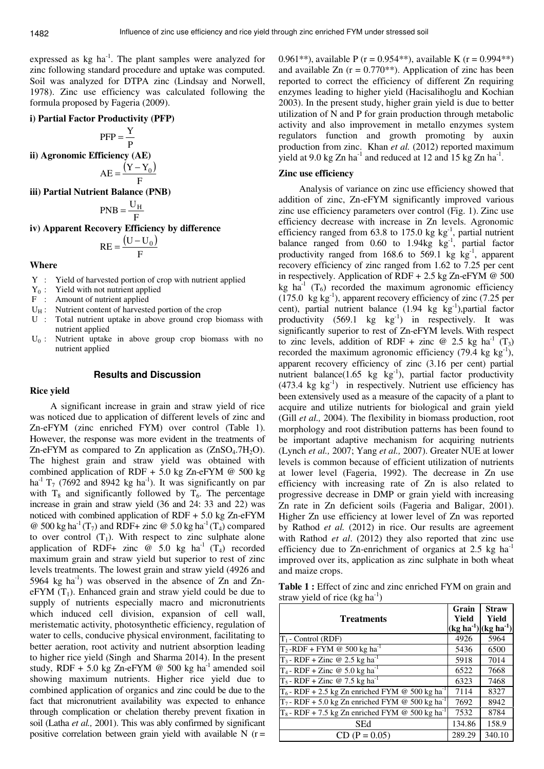1482

expressed as  $kg \text{ ha}^{-1}$ . The plant samples were analyzed for zinc following standard procedure and uptake was computed. Soil was analyzed for DTPA zinc (Lindsay and Norwell, 1978). Zinc use efficiency was calculated following the formula proposed by Fageria (2009).

## **i) Partial Factor Productivity (PFP)**

$$
PFP = \frac{Y}{P}
$$

**ii) Agronomic Efficiency (AE)** 

$$
AE = \frac{(Y - Y_0)}{F}
$$

**iii) Partial Nutrient Balance (PNB)** 

$$
PNB = \frac{U_H}{F}
$$

**iv) Apparent Recovery Efficiency by difference** 

$$
RE = \frac{(U - U_0)}{F}
$$

# **Where**

- Y : Yield of harvested portion of crop with nutrient applied
- $Y_0$ : Yield with not nutrient applied
- F : Amount of nutrient applied
- $U_H$ : Nutrient content of harvested portion of the crop
- U : Total nutrient uptake in above ground crop biomass with nutrient applied
- $U_0$ : Nutrient uptake in above group crop biomass with no nutrient applied

## **Results and Discussion**

#### **Rice yield**

A significant increase in grain and straw yield of rice was noticed due to application of different levels of zinc and Zn-eFYM (zinc enriched FYM) over control (Table 1). However, the response was more evident in the treatments of Zn-eFYM as compared to Zn application as  $(ZnSO<sub>4</sub>.7H<sub>2</sub>O)$ . The highest grain and straw yield was obtained with combined application of RDF + 5.0 kg Zn-eFYM  $@$  500 kg ha<sup>-1</sup> T<sub>7</sub> (7692 and 8942 kg ha<sup>-1</sup>). It was significantly on par with  $T_8$  and significantly followed by  $T_6$ . The percentage increase in grain and straw yield (36 and 24: 33 and 22) was noticed with combined application of RDF + 5.0 kg Zn-eFYM @ 500 kg ha<sup>-1</sup> (T<sub>7</sub>) and RDF+ zinc @ 5.0 kg ha<sup>-1</sup> (T<sub>4</sub>) compared to over control  $(T_1)$ . With respect to zinc sulphate alone application of RDF+ zinc  $\omega$  5.0 kg ha<sup>-1</sup> (T<sub>4</sub>) recorded maximum grain and straw yield but superior to rest of zinc levels treatments. The lowest grain and straw yield (4926 and  $5964 \text{ kg}$  ha<sup>-1</sup>) was observed in the absence of Zn and Zn $e$ FYM  $(T_1)$ . Enhanced grain and straw yield could be due to supply of nutrients especially macro and micronutrients which induced cell division, expansion of cell wall, meristematic activity, photosynthetic efficiency, regulation of water to cells, conducive physical environment, facilitating to better aeration, root activity and nutrient absorption leading to higher rice yield (Singh and Sharma 2014). In the present study, RDF + 5.0 kg Zn-eFYM  $\omega$  500 kg ha<sup>-1</sup> amended soil showing maximum nutrients. Higher rice yield due to combined application of organics and zinc could be due to the fact that micronutrient availability was expected to enhance through complication or chelation thereby prevent fixation in soil (Latha *et al.,* 2001). This was ably confirmed by significant positive correlation between grain yield with available  $N(r =$  0.961\*\*), available P (r = 0.954\*\*), available K (r = 0.994\*\*) and available Zn  $(r = 0.770^{**})$ . Application of zinc has been reported to correct the efficiency of different Zn requiring enzymes leading to higher yield (Hacisalihoglu and Kochian 2003). In the present study, higher grain yield is due to better utilization of N and P for grain production through metabolic activity and also improvement in metallo enzymes system regulators function and growth promoting by auxin production from zinc. Khan *et al.* (2012) reported maximum yield at 9.0 kg Zn  $ha^{-1}$  and reduced at 12 and 15 kg Zn  $ha^{-1}$ .

## **Zinc use efficiency**

Analysis of variance on zinc use efficiency showed that addition of zinc, Zn-eFYM significantly improved various zinc use efficiency parameters over control (Fig. 1). Zinc use efficiency decrease with increase in Zn levels. Agronomic efficiency ranged from 63.8 to 175.0 kg  $kg^{-1}$ , partial nutrient balance ranged from  $0.60$  to  $1.94kg$  kg<sup>-1</sup>, partial factor productivity ranged from 168.6 to 569.1 kg  $kg^{-1}$ , apparent recovery efficiency of zinc ranged from 1.62 to 7.25 per cent in respectively. Application of RDF  $+ 2.5$  kg Zn-eFYM @ 500 kg ha<sup>-1</sup> (T<sub>6</sub>) recorded the maximum agronomic efficiency (175.0 kg kg<sup>-1</sup>), apparent recovery efficiency of zinc (7.25 per cent), partial nutrient balance  $(1.94 \text{ kg kg}^{-1})$ , partial factor productivity  $(569.1 \text{ kg}^{-1})$  in respectively. It was significantly superior to rest of Zn-eFYM levels. With respect to zinc levels, addition of RDF + zinc @ 2.5 kg ha<sup>-1</sup> (T<sub>3</sub>) recorded the maximum agronomic efficiency  $(79.4 \text{ kg kg}^{-1})$ , apparent recovery efficiency of zinc (3.16 per cent) partial nutrient balance $(1.65 \text{ kg kg}^{-1})$ , partial factor productivity  $(473.4 \text{ kg kg}^{-1})$  in respectively. Nutrient use efficiency has been extensively used as a measure of the capacity of a plant to acquire and utilize nutrients for biological and grain yield (Gill *et al.,* 2004). The flexibility in biomass production, root morphology and root distribution patterns has been found to be important adaptive mechanism for acquiring nutrients (Lynch *et al.,* 2007; Yang *et al.,* 2007). Greater NUE at lower levels is common because of efficient utilization of nutrients at lower level (Fageria, 1992). The decrease in Zn use efficiency with increasing rate of Zn is also related to progressive decrease in DMP or grain yield with increasing Zn rate in Zn deficient soils (Fageria and Baligar, 2001). Higher Zn use efficiency at lower level of Zn was reported by Rathod *et al.* (2012) in rice. Our results are agreement with Rathod *et al*. (2012) they also reported that zinc use efficiency due to Zn-enrichment of organics at  $2.5 \text{ kg ha}^{-1}$ improved over its, application as zinc sulphate in both wheat and maize crops.

**Table 1 :** Effect of zinc and zinc enriched FYM on grain and straw yield of rice  $(kg ha^{-1})$ 

| <b>Treatments</b>                                              | Grain<br>Yield<br>$(kg ha^{-1}) (kg ha^{-1})$ | <b>Straw</b><br>Yield |
|----------------------------------------------------------------|-----------------------------------------------|-----------------------|
| $T_1$ - Control (RDF)                                          | 4926                                          | 5964                  |
| $T_2$ -RDF + FYM @ 500 kg ha <sup>-1</sup>                     | 5436                                          | 6500                  |
| $T_3$ - RDF + Zinc @ 2.5 kg ha <sup>-1</sup>                   | 5918                                          | 7014                  |
| $T_4$ - RDF + Zinc @ 5.0 kg ha <sup>-1</sup>                   | 6522                                          | 7668                  |
| $T_5$ - RDF + Zinc @ 7.5 kg ha <sup>1</sup>                    | 6323                                          | 7468                  |
| $T_6$ - RDF + 2.5 kg Zn enriched FYM @ 500 kg ha <sup>1</sup>  | 7114                                          | 8327                  |
| $T_7$ - RDF + 5.0 kg Zn enriched FYM @ 500 kg ha <sup>-1</sup> | 7692                                          | 8942                  |
| $T_8$ - RDF + 7.5 kg Zn enriched FYM @ 500 kg ha <sup>-1</sup> | 7532                                          | 8784                  |
| <b>SEd</b>                                                     | 134.86                                        | 158.9                 |
| $CD (P = 0.05)$                                                | 289.29                                        | 340.10                |